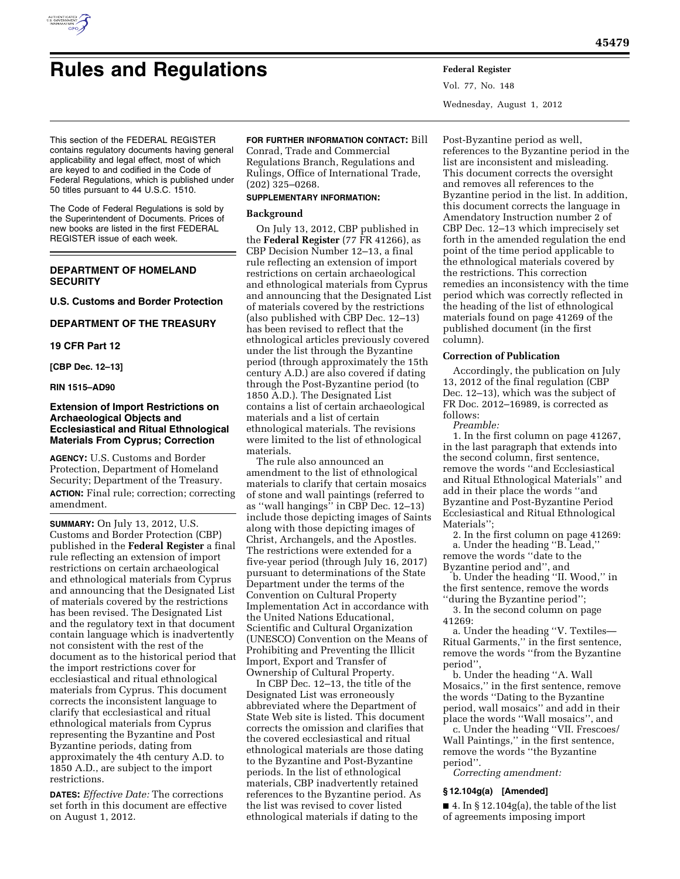

# **Rules and Regulations Federal Register**

Vol. 77, No. 148 Wednesday, August 1, 2012

This section of the FEDERAL REGISTER contains regulatory documents having general applicability and legal effect, most of which are keyed to and codified in the Code of Federal Regulations, which is published under 50 titles pursuant to 44 U.S.C. 1510.

The Code of Federal Regulations is sold by the Superintendent of Documents. Prices of new books are listed in the first FEDERAL REGISTER issue of each week.

# **DEPARTMENT OF HOMELAND SECURITY**

**U.S. Customs and Border Protection** 

# **DEPARTMENT OF THE TREASURY**

# **19 CFR Part 12**

# **[CBP Dec. 12–13]**

**RIN 1515–AD90** 

# **Extension of Import Restrictions on Archaeological Objects and Ecclesiastical and Ritual Ethnological Materials From Cyprus; Correction**

**AGENCY:** U.S. Customs and Border Protection, Department of Homeland Security; Department of the Treasury. **ACTION:** Final rule; correction; correcting amendment.

**SUMMARY:** On July 13, 2012, U.S. Customs and Border Protection (CBP) published in the **Federal Register** a final rule reflecting an extension of import restrictions on certain archaeological and ethnological materials from Cyprus and announcing that the Designated List of materials covered by the restrictions has been revised. The Designated List and the regulatory text in that document contain language which is inadvertently not consistent with the rest of the document as to the historical period that the import restrictions cover for ecclesiastical and ritual ethnological materials from Cyprus. This document corrects the inconsistent language to clarify that ecclesiastical and ritual ethnological materials from Cyprus representing the Byzantine and Post Byzantine periods, dating from approximately the 4th century A.D. to 1850 A.D., are subject to the import restrictions.

**DATES:** *Effective Date:* The corrections set forth in this document are effective on August 1, 2012.

# **FOR FURTHER INFORMATION CONTACT:** Bill

Conrad, Trade and Commercial Regulations Branch, Regulations and Rulings, Office of International Trade, (202) 325–0268.

# **SUPPLEMENTARY INFORMATION:**

# **Background**

On July 13, 2012, CBP published in the **Federal Register** (77 FR 41266), as CBP Decision Number 12–13, a final rule reflecting an extension of import restrictions on certain archaeological and ethnological materials from Cyprus and announcing that the Designated List of materials covered by the restrictions (also published with CBP Dec. 12–13) has been revised to reflect that the ethnological articles previously covered under the list through the Byzantine period (through approximately the 15th century A.D.) are also covered if dating through the Post-Byzantine period (to 1850 A.D.). The Designated List contains a list of certain archaeological materials and a list of certain ethnological materials. The revisions were limited to the list of ethnological materials.

The rule also announced an amendment to the list of ethnological materials to clarify that certain mosaics of stone and wall paintings (referred to as ''wall hangings'' in CBP Dec. 12–13) include those depicting images of Saints along with those depicting images of Christ, Archangels, and the Apostles. The restrictions were extended for a five-year period (through July 16, 2017) pursuant to determinations of the State Department under the terms of the Convention on Cultural Property Implementation Act in accordance with the United Nations Educational, Scientific and Cultural Organization (UNESCO) Convention on the Means of Prohibiting and Preventing the Illicit Import, Export and Transfer of Ownership of Cultural Property.

In CBP Dec. 12–13, the title of the Designated List was erroneously abbreviated where the Department of State Web site is listed. This document corrects the omission and clarifies that the covered ecclesiastical and ritual ethnological materials are those dating to the Byzantine and Post-Byzantine periods. In the list of ethnological materials, CBP inadvertently retained references to the Byzantine period. As the list was revised to cover listed ethnological materials if dating to the

Post-Byzantine period as well, references to the Byzantine period in the list are inconsistent and misleading. This document corrects the oversight and removes all references to the Byzantine period in the list. In addition, this document corrects the language in Amendatory Instruction number 2 of CBP Dec. 12–13 which imprecisely set forth in the amended regulation the end point of the time period applicable to the ethnological materials covered by the restrictions. This correction remedies an inconsistency with the time period which was correctly reflected in the heading of the list of ethnological materials found on page 41269 of the published document (in the first column).

## **Correction of Publication**

Accordingly, the publication on July 13, 2012 of the final regulation (CBP Dec. 12–13), which was the subject of FR Doc. 2012–16989, is corrected as follows:

*Preamble:* 

1. In the first column on page 41267, in the last paragraph that extends into the second column, first sentence, remove the words ''and Ecclesiastical and Ritual Ethnological Materials'' and add in their place the words ''and Byzantine and Post-Byzantine Period Ecclesiastical and Ritual Ethnological Materials'';

2. In the first column on page 41269: a. Under the heading ''B. Lead,'' remove the words ''date to the Byzantine period and'', and

b. Under the heading ''II. Wood,'' in the first sentence, remove the words ''during the Byzantine period'';

3. In the second column on page 41269:

a. Under the heading ''V. Textiles— Ritual Garments,'' in the first sentence, remove the words ''from the Byzantine period'',

b. Under the heading ''A. Wall Mosaics,'' in the first sentence, remove the words ''Dating to the Byzantine period, wall mosaics'' and add in their place the words ''Wall mosaics'', and

c. Under the heading ''VII. Frescoes/ Wall Paintings,'' in the first sentence, remove the words ''the Byzantine period''.

*Correcting amendment:* 

# **§ 12.104g(a) [Amended]**

 $\blacksquare$  4. In § 12.104g(a), the table of the list of agreements imposing import